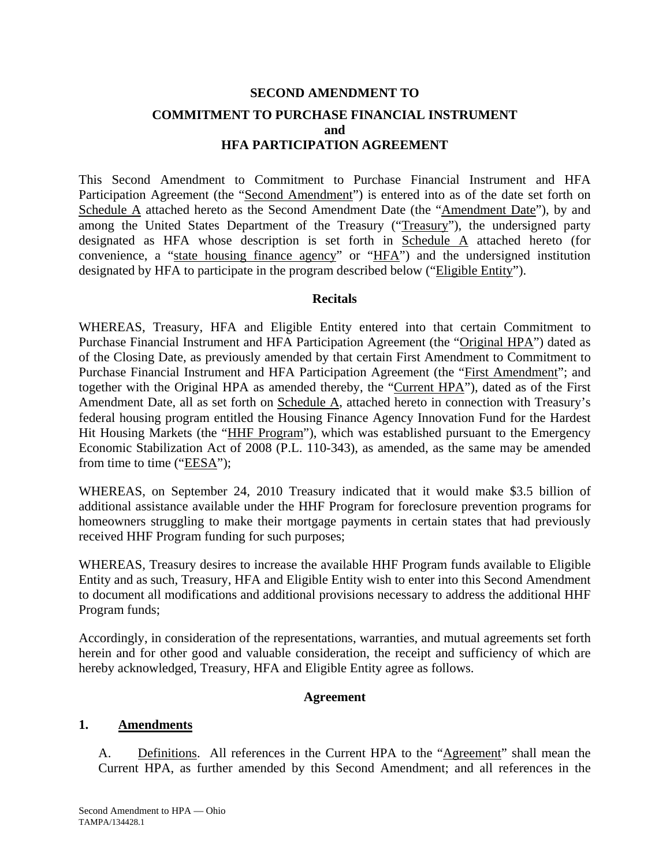# **SECOND AMENDMENT TO COMMITMENT TO PURCHASE FINANCIAL INSTRUMENT and HFA PARTICIPATION AGREEMENT**

This Second Amendment to Commitment to Purchase Financial Instrument and HFA Participation Agreement (the "Second Amendment") is entered into as of the date set forth on Schedule A attached hereto as the Second Amendment Date (the "Amendment Date"), by and among the United States Department of the Treasury ("Treasury"), the undersigned party designated as HFA whose description is set forth in Schedule A attached hereto (for convenience, a "state housing finance agency" or "HFA") and the undersigned institution designated by HFA to participate in the program described below ("Eligible Entity").

## **Recitals**

WHEREAS, Treasury, HFA and Eligible Entity entered into that certain Commitment to Purchase Financial Instrument and HFA Participation Agreement (the "Original HPA") dated as of the Closing Date, as previously amended by that certain First Amendment to Commitment to Purchase Financial Instrument and HFA Participation Agreement (the "First Amendment"; and together with the Original HPA as amended thereby, the "Current HPA"), dated as of the First Amendment Date, all as set forth on Schedule A, attached hereto in connection with Treasury's federal housing program entitled the Housing Finance Agency Innovation Fund for the Hardest Hit Housing Markets (the "HHF Program"), which was established pursuant to the Emergency Economic Stabilization Act of 2008 (P.L. 110-343), as amended, as the same may be amended from time to time ("EESA");

WHEREAS, on September 24, 2010 Treasury indicated that it would make \$3.5 billion of additional assistance available under the HHF Program for foreclosure prevention programs for homeowners struggling to make their mortgage payments in certain states that had previously received HHF Program funding for such purposes;

WHEREAS, Treasury desires to increase the available HHF Program funds available to Eligible Entity and as such, Treasury, HFA and Eligible Entity wish to enter into this Second Amendment to document all modifications and additional provisions necessary to address the additional HHF Program funds;

Accordingly, in consideration of the representations, warranties, and mutual agreements set forth herein and for other good and valuable consideration, the receipt and sufficiency of which are hereby acknowledged, Treasury, HFA and Eligible Entity agree as follows.

#### **Agreement**

#### **1. Amendments**

A. Definitions. All references in the Current HPA to the "Agreement" shall mean the Current HPA, as further amended by this Second Amendment; and all references in the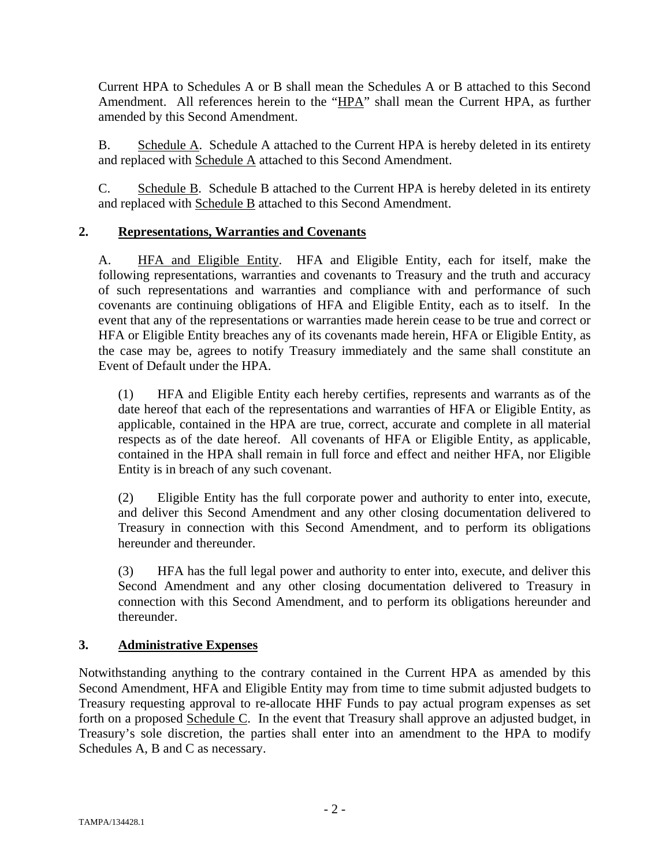Current HPA to Schedules A or B shall mean the Schedules A or B attached to this Second Amendment. All references herein to the "HPA" shall mean the Current HPA, as further amended by this Second Amendment.

B. Schedule A. Schedule A attached to the Current HPA is hereby deleted in its entirety and replaced with Schedule A attached to this Second Amendment.

C. Schedule B. Schedule B attached to the Current HPA is hereby deleted in its entirety and replaced with Schedule B attached to this Second Amendment.

# **2. Representations, Warranties and Covenants**

A. HFA and Eligible Entity. HFA and Eligible Entity, each for itself, make the following representations, warranties and covenants to Treasury and the truth and accuracy of such representations and warranties and compliance with and performance of such covenants are continuing obligations of HFA and Eligible Entity, each as to itself. In the event that any of the representations or warranties made herein cease to be true and correct or HFA or Eligible Entity breaches any of its covenants made herein, HFA or Eligible Entity, as the case may be, agrees to notify Treasury immediately and the same shall constitute an Event of Default under the HPA.

(1) HFA and Eligible Entity each hereby certifies, represents and warrants as of the date hereof that each of the representations and warranties of HFA or Eligible Entity, as applicable, contained in the HPA are true, correct, accurate and complete in all material respects as of the date hereof. All covenants of HFA or Eligible Entity, as applicable, contained in the HPA shall remain in full force and effect and neither HFA, nor Eligible Entity is in breach of any such covenant.

(2) Eligible Entity has the full corporate power and authority to enter into, execute, and deliver this Second Amendment and any other closing documentation delivered to Treasury in connection with this Second Amendment, and to perform its obligations hereunder and thereunder.

(3) HFA has the full legal power and authority to enter into, execute, and deliver this Second Amendment and any other closing documentation delivered to Treasury in connection with this Second Amendment, and to perform its obligations hereunder and thereunder.

## **3. Administrative Expenses**

Notwithstanding anything to the contrary contained in the Current HPA as amended by this Second Amendment, HFA and Eligible Entity may from time to time submit adjusted budgets to Treasury requesting approval to re-allocate HHF Funds to pay actual program expenses as set forth on a proposed Schedule C. In the event that Treasury shall approve an adjusted budget, in Treasury's sole discretion, the parties shall enter into an amendment to the HPA to modify Schedules A, B and C as necessary.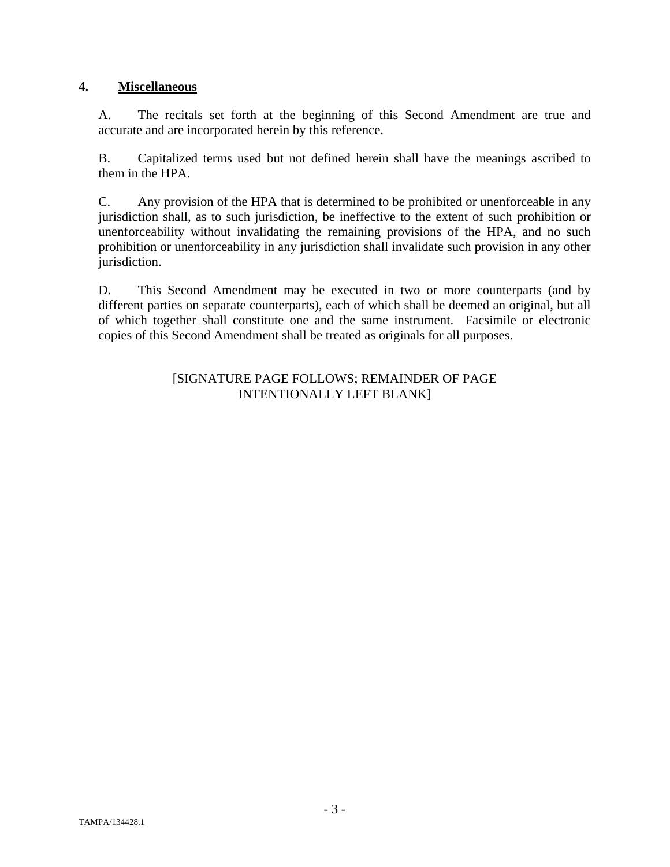## **4. Miscellaneous**

A. The recitals set forth at the beginning of this Second Amendment are true and accurate and are incorporated herein by this reference.

B. Capitalized terms used but not defined herein shall have the meanings ascribed to them in the HPA.

C. Any provision of the HPA that is determined to be prohibited or unenforceable in any jurisdiction shall, as to such jurisdiction, be ineffective to the extent of such prohibition or unenforceability without invalidating the remaining provisions of the HPA, and no such prohibition or unenforceability in any jurisdiction shall invalidate such provision in any other jurisdiction.

D. This Second Amendment may be executed in two or more counterparts (and by different parties on separate counterparts), each of which shall be deemed an original, but all of which together shall constitute one and the same instrument. Facsimile or electronic copies of this Second Amendment shall be treated as originals for all purposes.

## [SIGNATURE PAGE FOLLOWS; REMAINDER OF PAGE INTENTIONALLY LEFT BLANK]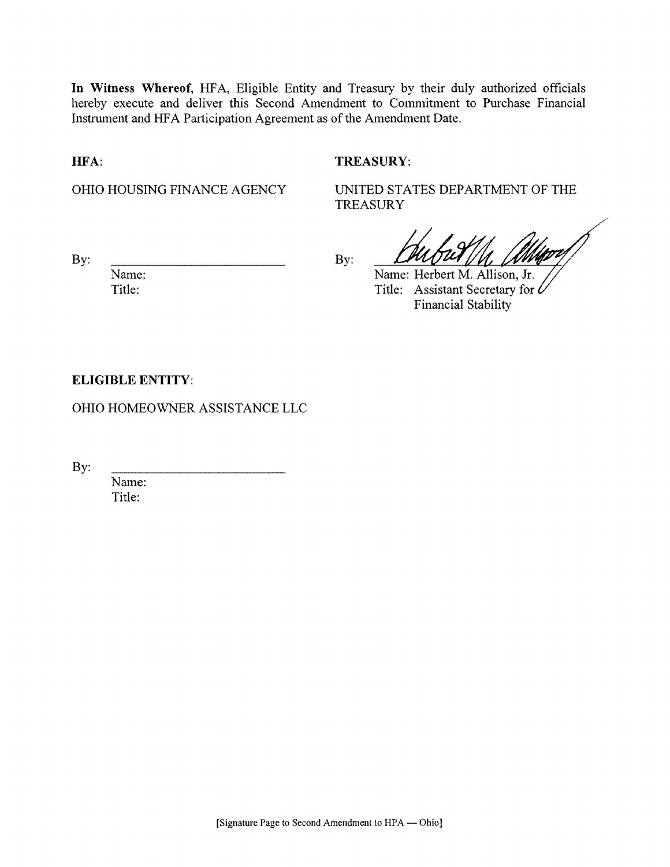In Witness Whereof, HFA, Eligible Entity and Treasury by their duly authorized officials hereby execute and deliver this Second Amendment to Commitment to Purchase Financial Instrument and HFA Participation Agreement as of the Amendment Date.

HFA:

## **TREASURY:**

OHIO HOUSING FINANCE AGENCY

UNITED STATES DEPARTMENT OF THE **TREASURY** 

By:

By:

Name: Herbert M. Allison, Jr.

Title: Assistant Secretary for L **Financial Stability** 

## **ELIGIBLE ENTITY:**

Name:

Title:

OHIO HOMEOWNER ASSISTANCE LLC

By:

Name: Title: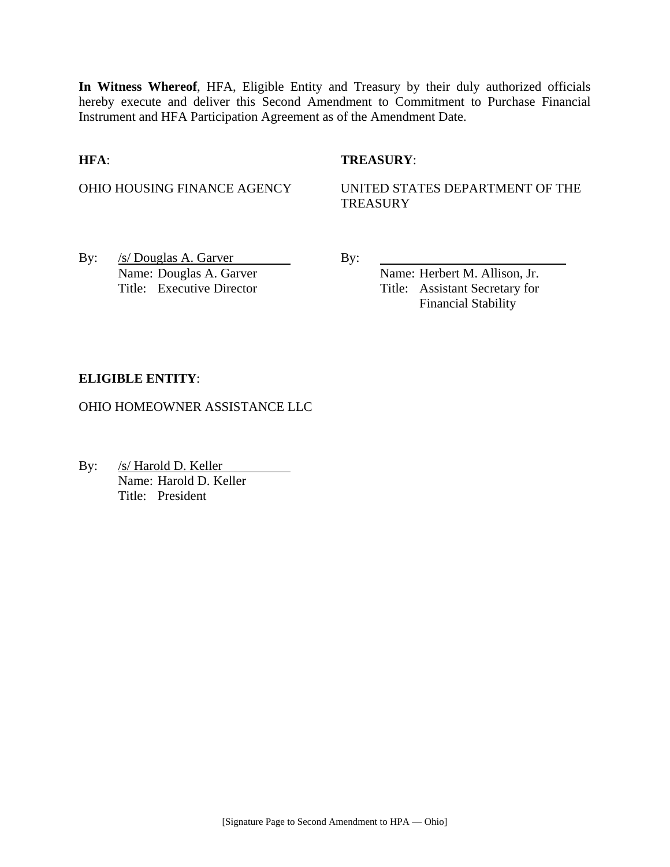**In Witness Whereof**, HFA, Eligible Entity and Treasury by their duly authorized officials hereby execute and deliver this Second Amendment to Commitment to Purchase Financial Instrument and HFA Participation Agreement as of the Amendment Date.

## **HFA**: **TREASURY**:

OHIO HOUSING FINANCE AGENCY UNITED STATES DEPARTMENT OF THE **TREASURY** 

By:  $/s/Douglas A. Garver$  By: Name: Douglas A. Garver Name: Herbert M. Allison, Jr.

Title: Executive Director Title: Assistant Secretary for Financial Stability

## **ELIGIBLE ENTITY**:

OHIO HOMEOWNER ASSISTANCE LLC

By: /s/ Harold D. Keller Name: Harold D. Keller Title: President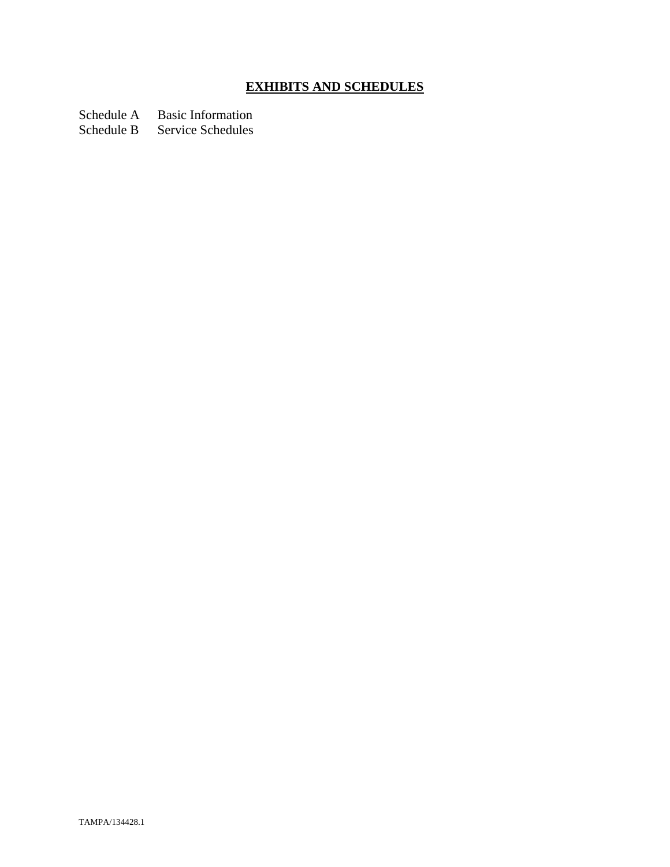# **EXHIBITS AND SCHEDULES**

Schedule A Basic Information

Schedule B Service Schedules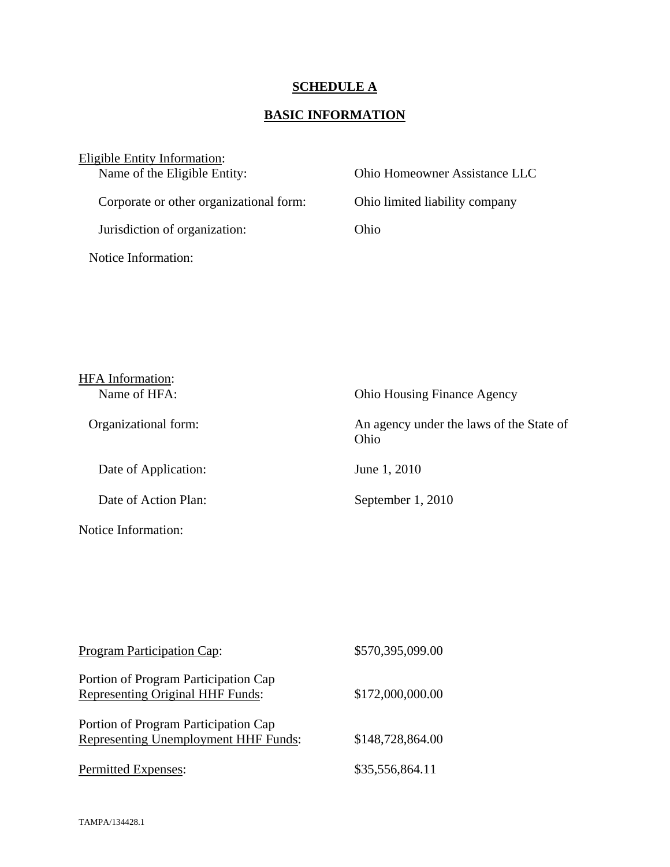# **SCHEDULE A**

## **BASIC INFORMATION**

| Eligible Entity Information:            |                                |
|-----------------------------------------|--------------------------------|
| Name of the Eligible Entity:            | Ohio Homeowner Assistance LLC  |
| Corporate or other organizational form: | Ohio limited liability company |
| Jurisdiction of organization:           | Ohio                           |
| Notice Information:                     |                                |

| <b>HFA</b> Information: |                                                  |
|-------------------------|--------------------------------------------------|
| Name of HFA:            | <b>Ohio Housing Finance Agency</b>               |
| Organizational form:    | An agency under the laws of the State of<br>Ohio |
| Date of Application:    | June 1, 2010                                     |
| Date of Action Plan:    | September 1, 2010                                |
| Notice Information:     |                                                  |

| Program Participation Cap:                                                   | \$570,395,099.00 |
|------------------------------------------------------------------------------|------------------|
| Portion of Program Participation Cap<br>Representing Original HHF Funds:     | \$172,000,000.00 |
| Portion of Program Participation Cap<br>Representing Unemployment HHF Funds: | \$148,728,864.00 |
| Permitted Expenses:                                                          | \$35,556,864.11  |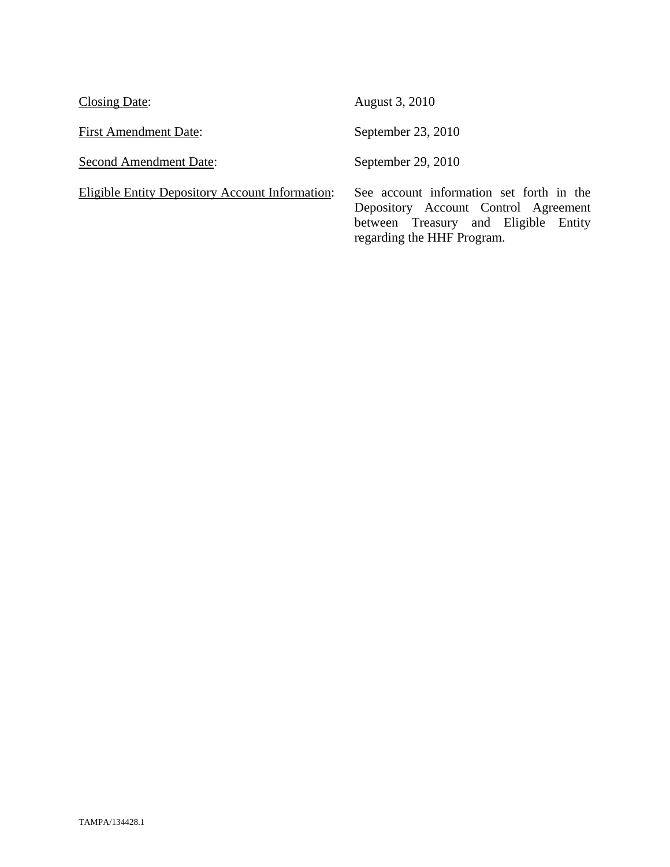| Closing Date:                                   | August 3, 2010                                                                                                                                         |
|-------------------------------------------------|--------------------------------------------------------------------------------------------------------------------------------------------------------|
| <b>First Amendment Date:</b>                    | September 23, 2010                                                                                                                                     |
| <b>Second Amendment Date:</b>                   | September 29, 2010                                                                                                                                     |
| Eligible Entity Depository Account Information: | See account information set forth in the<br>Depository Account Control Agreement<br>between Treasury and Eligible Entity<br>regarding the HHF Program. |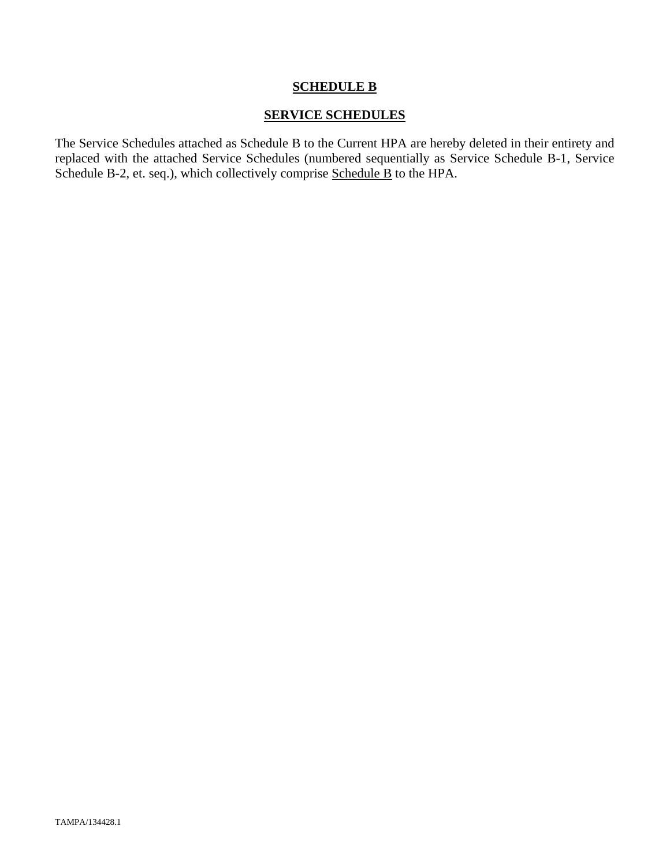## **SCHEDULE B**

## **SERVICE SCHEDULES**

The Service Schedules attached as Schedule B to the Current HPA are hereby deleted in their entirety and replaced with the attached Service Schedules (numbered sequentially as Service Schedule B-1, Service Schedule B-2, et. seq.), which collectively comprise Schedule B to the HPA.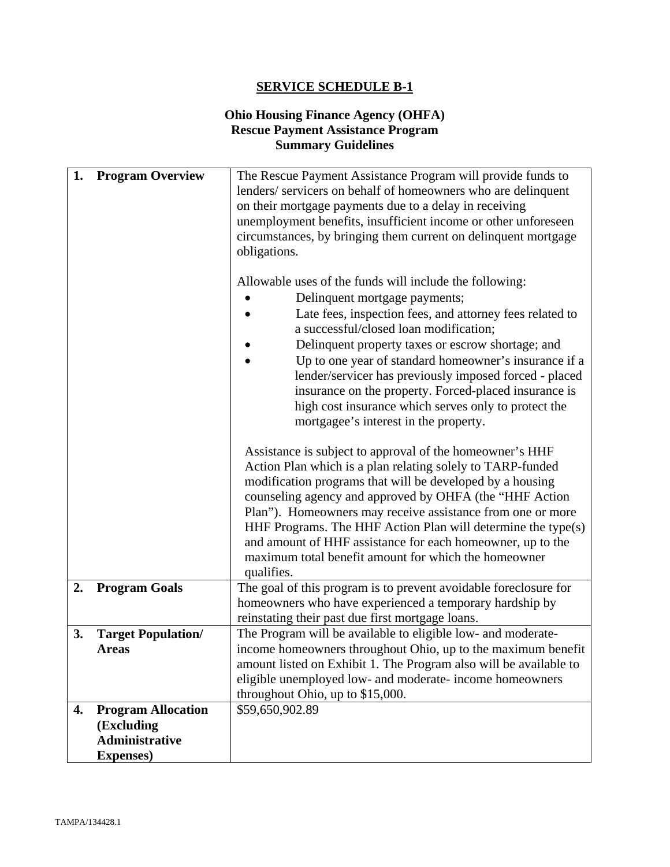## **Ohio Housing Finance Agency (OHFA) Rescue Payment Assistance Program Summary Guidelines**

| 1. | <b>Program Overview</b>                                                               | The Rescue Payment Assistance Program will provide funds to<br>lenders/servicers on behalf of homeowners who are delinquent<br>on their mortgage payments due to a delay in receiving<br>unemployment benefits, insufficient income or other unforeseen<br>circumstances, by bringing them current on delinquent mortgage<br>obligations.<br>Allowable uses of the funds will include the following:<br>Delinquent mortgage payments;                                                                            |
|----|---------------------------------------------------------------------------------------|------------------------------------------------------------------------------------------------------------------------------------------------------------------------------------------------------------------------------------------------------------------------------------------------------------------------------------------------------------------------------------------------------------------------------------------------------------------------------------------------------------------|
|    |                                                                                       | Late fees, inspection fees, and attorney fees related to<br>a successful/closed loan modification;<br>Delinquent property taxes or escrow shortage; and<br>Up to one year of standard homeowner's insurance if a<br>lender/servicer has previously imposed forced - placed<br>insurance on the property. Forced-placed insurance is<br>high cost insurance which serves only to protect the<br>mortgagee's interest in the property.                                                                             |
|    |                                                                                       | Assistance is subject to approval of the homeowner's HHF<br>Action Plan which is a plan relating solely to TARP-funded<br>modification programs that will be developed by a housing<br>counseling agency and approved by OHFA (the "HHF Action<br>Plan"). Homeowners may receive assistance from one or more<br>HHF Programs. The HHF Action Plan will determine the type(s)<br>and amount of HHF assistance for each homeowner, up to the<br>maximum total benefit amount for which the homeowner<br>qualifies. |
| 2. | <b>Program Goals</b>                                                                  | The goal of this program is to prevent avoidable foreclosure for<br>homeowners who have experienced a temporary hardship by<br>reinstating their past due first mortgage loans.                                                                                                                                                                                                                                                                                                                                  |
| 3. | <b>Target Population/</b><br><b>Areas</b>                                             | The Program will be available to eligible low- and moderate-<br>income homeowners throughout Ohio, up to the maximum benefit<br>amount listed on Exhibit 1. The Program also will be available to<br>eligible unemployed low- and moderate- income homeowners<br>throughout Ohio, up to \$15,000.                                                                                                                                                                                                                |
| 4. | <b>Program Allocation</b><br>(Excluding<br><b>Administrative</b><br><b>Expenses</b> ) | \$59,650,902.89                                                                                                                                                                                                                                                                                                                                                                                                                                                                                                  |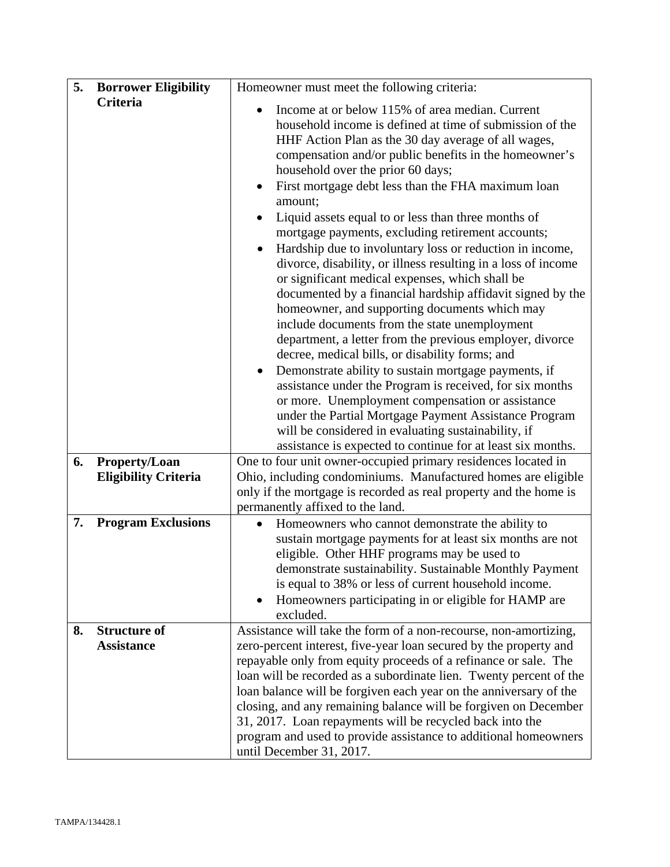| 5. | <b>Borrower Eligibility</b>                  | Homeowner must meet the following criteria:                                                                                                                                                                                                                                                                                                                                                                                                                                                                                                                                                                                                                                                                                                                                                                                                                                                                                                                                                                                                                                                                                                                                                                                                                                                    |
|----|----------------------------------------------|------------------------------------------------------------------------------------------------------------------------------------------------------------------------------------------------------------------------------------------------------------------------------------------------------------------------------------------------------------------------------------------------------------------------------------------------------------------------------------------------------------------------------------------------------------------------------------------------------------------------------------------------------------------------------------------------------------------------------------------------------------------------------------------------------------------------------------------------------------------------------------------------------------------------------------------------------------------------------------------------------------------------------------------------------------------------------------------------------------------------------------------------------------------------------------------------------------------------------------------------------------------------------------------------|
|    | Criteria                                     | Income at or below 115% of area median. Current<br>household income is defined at time of submission of the<br>HHF Action Plan as the 30 day average of all wages,<br>compensation and/or public benefits in the homeowner's<br>household over the prior 60 days;<br>First mortgage debt less than the FHA maximum loan<br>$\bullet$<br>amount;<br>Liquid assets equal to or less than three months of<br>$\bullet$<br>mortgage payments, excluding retirement accounts;<br>Hardship due to involuntary loss or reduction in income,<br>divorce, disability, or illness resulting in a loss of income<br>or significant medical expenses, which shall be<br>documented by a financial hardship affidavit signed by the<br>homeowner, and supporting documents which may<br>include documents from the state unemployment<br>department, a letter from the previous employer, divorce<br>decree, medical bills, or disability forms; and<br>Demonstrate ability to sustain mortgage payments, if<br>assistance under the Program is received, for six months<br>or more. Unemployment compensation or assistance<br>under the Partial Mortgage Payment Assistance Program<br>will be considered in evaluating sustainability, if<br>assistance is expected to continue for at least six months. |
| 6. | Property/Loan<br><b>Eligibility Criteria</b> | One to four unit owner-occupied primary residences located in<br>Ohio, including condominiums. Manufactured homes are eligible<br>only if the mortgage is recorded as real property and the home is<br>permanently affixed to the land.                                                                                                                                                                                                                                                                                                                                                                                                                                                                                                                                                                                                                                                                                                                                                                                                                                                                                                                                                                                                                                                        |
| 7. | <b>Program Exclusions</b>                    | Homeowners who cannot demonstrate the ability to<br>$\bullet$<br>sustain mortgage payments for at least six months are not<br>eligible. Other HHF programs may be used to<br>demonstrate sustainability. Sustainable Monthly Payment<br>is equal to 38% or less of current household income.<br>Homeowners participating in or eligible for HAMP are<br>excluded.                                                                                                                                                                                                                                                                                                                                                                                                                                                                                                                                                                                                                                                                                                                                                                                                                                                                                                                              |
| 8. | <b>Structure of</b><br><b>Assistance</b>     | Assistance will take the form of a non-recourse, non-amortizing,<br>zero-percent interest, five-year loan secured by the property and<br>repayable only from equity proceeds of a refinance or sale. The<br>loan will be recorded as a subordinate lien. Twenty percent of the<br>loan balance will be forgiven each year on the anniversary of the<br>closing, and any remaining balance will be forgiven on December<br>31, 2017. Loan repayments will be recycled back into the<br>program and used to provide assistance to additional homeowners<br>until December 31, 2017.                                                                                                                                                                                                                                                                                                                                                                                                                                                                                                                                                                                                                                                                                                              |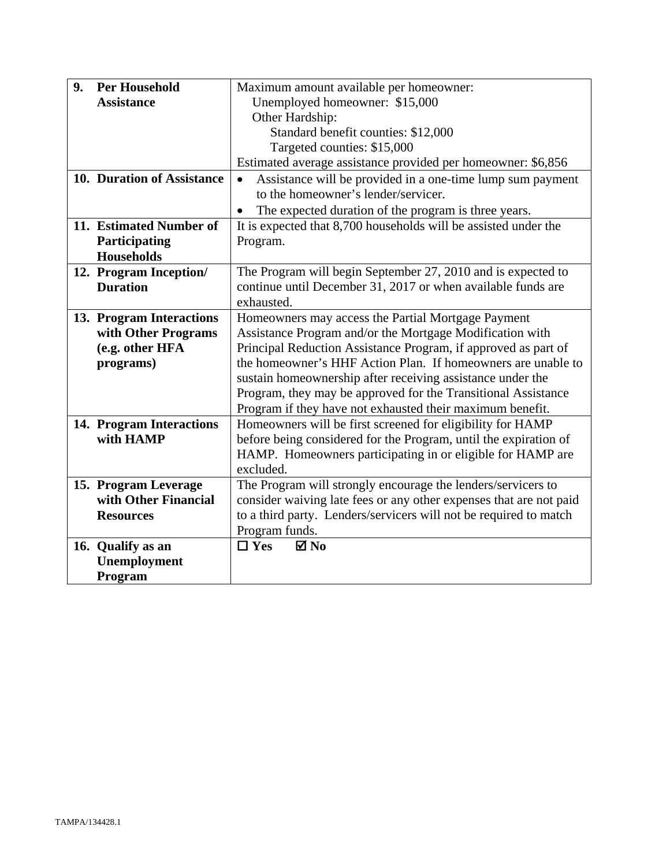| 9. | <b>Per Household</b>       | Maximum amount available per homeowner:                            |
|----|----------------------------|--------------------------------------------------------------------|
|    | <b>Assistance</b>          | Unemployed homeowner: \$15,000                                     |
|    |                            | Other Hardship:                                                    |
|    |                            | Standard benefit counties: \$12,000                                |
|    |                            | Targeted counties: \$15,000                                        |
|    |                            | Estimated average assistance provided per homeowner: \$6,856       |
|    | 10. Duration of Assistance | Assistance will be provided in a one-time lump sum payment         |
|    |                            | to the homeowner's lender/servicer.                                |
|    |                            | The expected duration of the program is three years.               |
|    | 11. Estimated Number of    | It is expected that 8,700 households will be assisted under the    |
|    | Participating              | Program.                                                           |
|    | <b>Households</b>          |                                                                    |
|    | 12. Program Inception/     | The Program will begin September 27, 2010 and is expected to       |
|    | <b>Duration</b>            | continue until December 31, 2017 or when available funds are       |
|    |                            | exhausted.                                                         |
|    | 13. Program Interactions   | Homeowners may access the Partial Mortgage Payment                 |
|    | with Other Programs        | Assistance Program and/or the Mortgage Modification with           |
|    | (e.g. other HFA            | Principal Reduction Assistance Program, if approved as part of     |
|    | programs)                  | the homeowner's HHF Action Plan. If homeowners are unable to       |
|    |                            | sustain homeownership after receiving assistance under the         |
|    |                            | Program, they may be approved for the Transitional Assistance      |
|    |                            | Program if they have not exhausted their maximum benefit.          |
|    | 14. Program Interactions   | Homeowners will be first screened for eligibility for HAMP         |
|    | with HAMP                  | before being considered for the Program, until the expiration of   |
|    |                            | HAMP. Homeowners participating in or eligible for HAMP are         |
|    |                            | excluded.                                                          |
|    | 15. Program Leverage       | The Program will strongly encourage the lenders/servicers to       |
|    | with Other Financial       | consider waiving late fees or any other expenses that are not paid |
|    | <b>Resources</b>           | to a third party. Lenders/servicers will not be required to match  |
|    |                            | Program funds.                                                     |
|    | 16. Qualify as an          | $\Box$ Yes<br>$\boxtimes$ No                                       |
|    | Unemployment               |                                                                    |
|    | Program                    |                                                                    |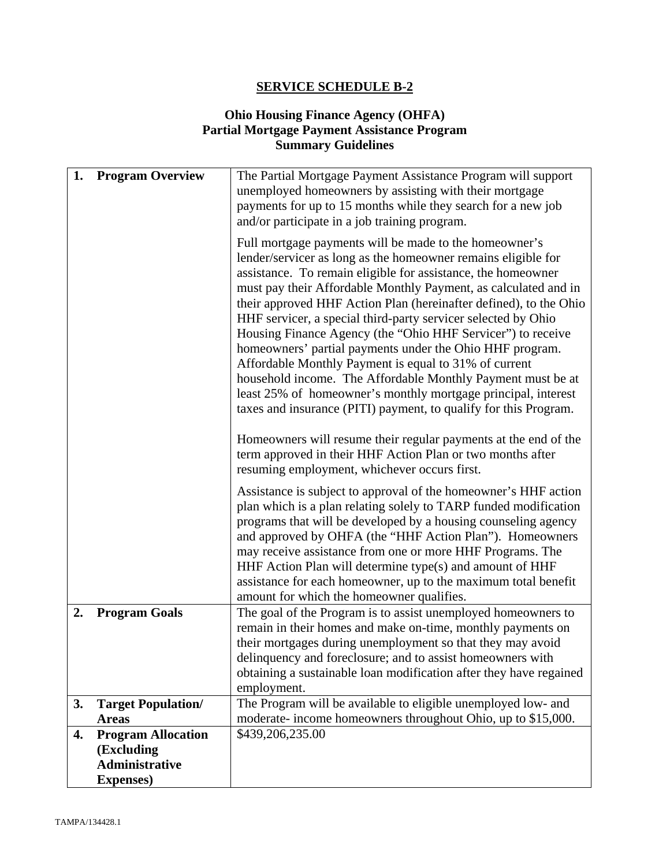## **Ohio Housing Finance Agency (OHFA) Partial Mortgage Payment Assistance Program Summary Guidelines**

| 1. | <b>Program Overview</b>                                          | The Partial Mortgage Payment Assistance Program will support<br>unemployed homeowners by assisting with their mortgage<br>payments for up to 15 months while they search for a new job<br>and/or participate in a job training program.<br>Full mortgage payments will be made to the homeowner's<br>lender/servicer as long as the homeowner remains eligible for<br>assistance. To remain eligible for assistance, the homeowner<br>must pay their Affordable Monthly Payment, as calculated and in<br>their approved HHF Action Plan (hereinafter defined), to the Ohio<br>HHF servicer, a special third-party servicer selected by Ohio<br>Housing Finance Agency (the "Ohio HHF Servicer") to receive<br>homeowners' partial payments under the Ohio HHF program.<br>Affordable Monthly Payment is equal to 31% of current<br>household income. The Affordable Monthly Payment must be at<br>least 25% of homeowner's monthly mortgage principal, interest<br>taxes and insurance (PITI) payment, to qualify for this Program.<br>Homeowners will resume their regular payments at the end of the<br>term approved in their HHF Action Plan or two months after |
|----|------------------------------------------------------------------|----------------------------------------------------------------------------------------------------------------------------------------------------------------------------------------------------------------------------------------------------------------------------------------------------------------------------------------------------------------------------------------------------------------------------------------------------------------------------------------------------------------------------------------------------------------------------------------------------------------------------------------------------------------------------------------------------------------------------------------------------------------------------------------------------------------------------------------------------------------------------------------------------------------------------------------------------------------------------------------------------------------------------------------------------------------------------------------------------------------------------------------------------------------------|
| 2. | <b>Program Goals</b>                                             | resuming employment, whichever occurs first.<br>Assistance is subject to approval of the homeowner's HHF action<br>plan which is a plan relating solely to TARP funded modification<br>programs that will be developed by a housing counseling agency<br>and approved by OHFA (the "HHF Action Plan"). Homeowners<br>may receive assistance from one or more HHF Programs. The<br>HHF Action Plan will determine type(s) and amount of HHF<br>assistance for each homeowner, up to the maximum total benefit<br>amount for which the homeowner qualifies.<br>The goal of the Program is to assist unemployed homeowners to<br>remain in their homes and make on-time, monthly payments on<br>their mortgages during unemployment so that they may avoid                                                                                                                                                                                                                                                                                                                                                                                                              |
|    |                                                                  | delinquency and foreclosure; and to assist homeowners with<br>obtaining a sustainable loan modification after they have regained<br>employment.                                                                                                                                                                                                                                                                                                                                                                                                                                                                                                                                                                                                                                                                                                                                                                                                                                                                                                                                                                                                                      |
| 3. | <b>Target Population/</b>                                        | The Program will be available to eligible unemployed low- and                                                                                                                                                                                                                                                                                                                                                                                                                                                                                                                                                                                                                                                                                                                                                                                                                                                                                                                                                                                                                                                                                                        |
|    | <b>Areas</b>                                                     | moderate- income homeowners throughout Ohio, up to \$15,000.                                                                                                                                                                                                                                                                                                                                                                                                                                                                                                                                                                                                                                                                                                                                                                                                                                                                                                                                                                                                                                                                                                         |
| 4. | <b>Program Allocation</b><br>(Excluding<br><b>Administrative</b> | \$439,206,235.00                                                                                                                                                                                                                                                                                                                                                                                                                                                                                                                                                                                                                                                                                                                                                                                                                                                                                                                                                                                                                                                                                                                                                     |
|    | <b>Expenses</b> )                                                |                                                                                                                                                                                                                                                                                                                                                                                                                                                                                                                                                                                                                                                                                                                                                                                                                                                                                                                                                                                                                                                                                                                                                                      |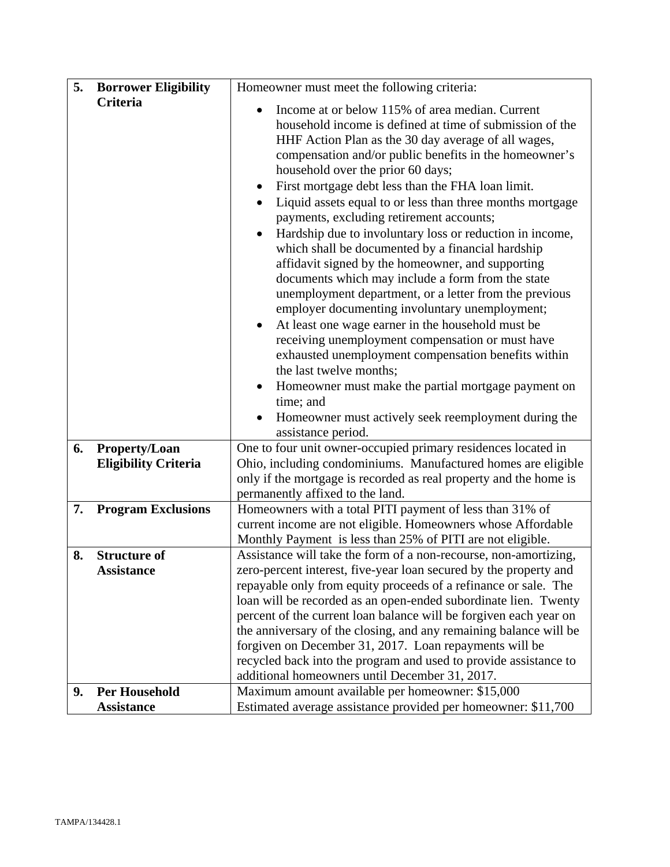| 5. | <b>Borrower Eligibility</b>                  | Homeowner must meet the following criteria:                                                                                                                                                                                                                                                                                                                                                                                                                                                                                                                                                                                                                                                                                                                                                                                                                                                                                                                                                                                                                                                                                                                |
|----|----------------------------------------------|------------------------------------------------------------------------------------------------------------------------------------------------------------------------------------------------------------------------------------------------------------------------------------------------------------------------------------------------------------------------------------------------------------------------------------------------------------------------------------------------------------------------------------------------------------------------------------------------------------------------------------------------------------------------------------------------------------------------------------------------------------------------------------------------------------------------------------------------------------------------------------------------------------------------------------------------------------------------------------------------------------------------------------------------------------------------------------------------------------------------------------------------------------|
|    | Criteria                                     | Income at or below 115% of area median. Current<br>$\bullet$<br>household income is defined at time of submission of the<br>HHF Action Plan as the 30 day average of all wages,<br>compensation and/or public benefits in the homeowner's<br>household over the prior 60 days;<br>First mortgage debt less than the FHA loan limit.<br>$\bullet$<br>Liquid assets equal to or less than three months mortgage<br>payments, excluding retirement accounts;<br>Hardship due to involuntary loss or reduction in income,<br>which shall be documented by a financial hardship<br>affidavit signed by the homeowner, and supporting<br>documents which may include a form from the state<br>unemployment department, or a letter from the previous<br>employer documenting involuntary unemployment;<br>At least one wage earner in the household must be<br>$\bullet$<br>receiving unemployment compensation or must have<br>exhausted unemployment compensation benefits within<br>the last twelve months;<br>Homeowner must make the partial mortgage payment on<br>time; and<br>Homeowner must actively seek reemployment during the<br>assistance period. |
| 6. | Property/Loan<br><b>Eligibility Criteria</b> | One to four unit owner-occupied primary residences located in<br>Ohio, including condominiums. Manufactured homes are eligible<br>only if the mortgage is recorded as real property and the home is                                                                                                                                                                                                                                                                                                                                                                                                                                                                                                                                                                                                                                                                                                                                                                                                                                                                                                                                                        |
|    |                                              | permanently affixed to the land.                                                                                                                                                                                                                                                                                                                                                                                                                                                                                                                                                                                                                                                                                                                                                                                                                                                                                                                                                                                                                                                                                                                           |
| 7. | <b>Program Exclusions</b>                    | Homeowners with a total PITI payment of less than 31% of<br>current income are not eligible. Homeowners whose Affordable<br>Monthly Payment is less than 25% of PITI are not eligible.                                                                                                                                                                                                                                                                                                                                                                                                                                                                                                                                                                                                                                                                                                                                                                                                                                                                                                                                                                     |
| 8. | <b>Structure of</b><br><b>Assistance</b>     | Assistance will take the form of a non-recourse, non-amortizing,<br>zero-percent interest, five-year loan secured by the property and<br>repayable only from equity proceeds of a refinance or sale. The<br>loan will be recorded as an open-ended subordinate lien. Twenty<br>percent of the current loan balance will be forgiven each year on<br>the anniversary of the closing, and any remaining balance will be<br>forgiven on December 31, 2017. Loan repayments will be<br>recycled back into the program and used to provide assistance to<br>additional homeowners until December 31, 2017.                                                                                                                                                                                                                                                                                                                                                                                                                                                                                                                                                      |
| 9. | <b>Per Household</b><br><b>Assistance</b>    | Maximum amount available per homeowner: \$15,000<br>Estimated average assistance provided per homeowner: \$11,700                                                                                                                                                                                                                                                                                                                                                                                                                                                                                                                                                                                                                                                                                                                                                                                                                                                                                                                                                                                                                                          |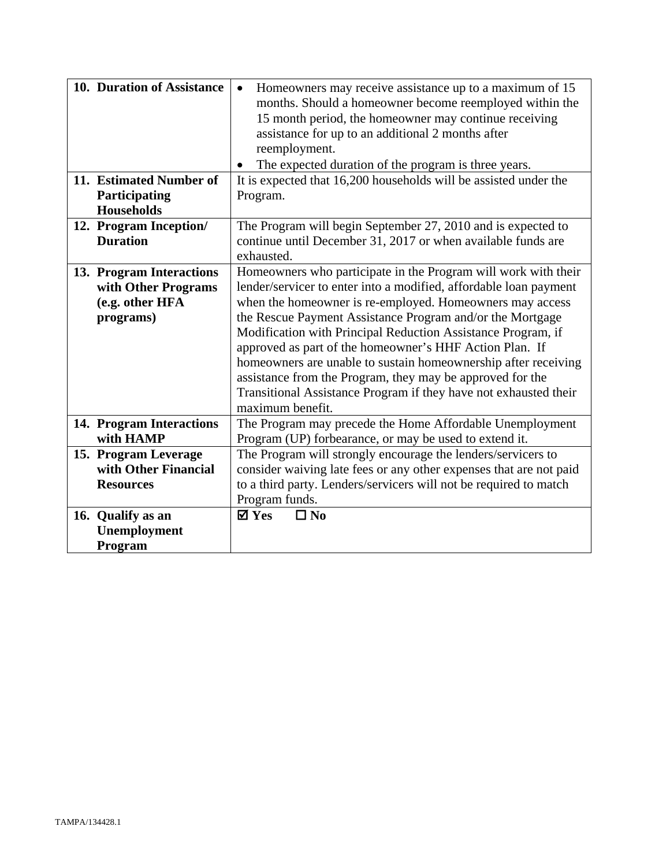| 10. Duration of Assistance<br>11. Estimated Number of<br><b>Participating</b><br><b>Households</b> | Homeowners may receive assistance up to a maximum of 15<br>$\bullet$<br>months. Should a homeowner become reemployed within the<br>15 month period, the homeowner may continue receiving<br>assistance for up to an additional 2 months after<br>reemployment.<br>The expected duration of the program is three years.<br>It is expected that 16,200 households will be assisted under the<br>Program. |
|----------------------------------------------------------------------------------------------------|--------------------------------------------------------------------------------------------------------------------------------------------------------------------------------------------------------------------------------------------------------------------------------------------------------------------------------------------------------------------------------------------------------|
| 12. Program Inception/                                                                             | The Program will begin September 27, 2010 and is expected to                                                                                                                                                                                                                                                                                                                                           |
| <b>Duration</b>                                                                                    | continue until December 31, 2017 or when available funds are<br>exhausted.                                                                                                                                                                                                                                                                                                                             |
| 13. Program Interactions                                                                           | Homeowners who participate in the Program will work with their                                                                                                                                                                                                                                                                                                                                         |
| with Other Programs                                                                                | lender/servicer to enter into a modified, affordable loan payment                                                                                                                                                                                                                                                                                                                                      |
| (e.g. other HFA                                                                                    | when the homeowner is re-employed. Homeowners may access                                                                                                                                                                                                                                                                                                                                               |
| programs)                                                                                          | the Rescue Payment Assistance Program and/or the Mortgage                                                                                                                                                                                                                                                                                                                                              |
|                                                                                                    | Modification with Principal Reduction Assistance Program, if                                                                                                                                                                                                                                                                                                                                           |
|                                                                                                    | approved as part of the homeowner's HHF Action Plan. If                                                                                                                                                                                                                                                                                                                                                |
|                                                                                                    | homeowners are unable to sustain homeownership after receiving                                                                                                                                                                                                                                                                                                                                         |
|                                                                                                    | assistance from the Program, they may be approved for the<br>Transitional Assistance Program if they have not exhausted their                                                                                                                                                                                                                                                                          |
|                                                                                                    | maximum benefit.                                                                                                                                                                                                                                                                                                                                                                                       |
| 14. Program Interactions                                                                           | The Program may precede the Home Affordable Unemployment                                                                                                                                                                                                                                                                                                                                               |
| with HAMP                                                                                          | Program (UP) forbearance, or may be used to extend it.                                                                                                                                                                                                                                                                                                                                                 |
| 15. Program Leverage                                                                               | The Program will strongly encourage the lenders/servicers to                                                                                                                                                                                                                                                                                                                                           |
| with Other Financial                                                                               | consider waiving late fees or any other expenses that are not paid                                                                                                                                                                                                                                                                                                                                     |
| <b>Resources</b>                                                                                   | to a third party. Lenders/servicers will not be required to match                                                                                                                                                                                                                                                                                                                                      |
|                                                                                                    | Program funds.                                                                                                                                                                                                                                                                                                                                                                                         |
| 16. Qualify as an                                                                                  | $\mathbf{\nabla}$ Yes<br>$\Box$ No                                                                                                                                                                                                                                                                                                                                                                     |
| <b>Unemployment</b>                                                                                |                                                                                                                                                                                                                                                                                                                                                                                                        |
| Program                                                                                            |                                                                                                                                                                                                                                                                                                                                                                                                        |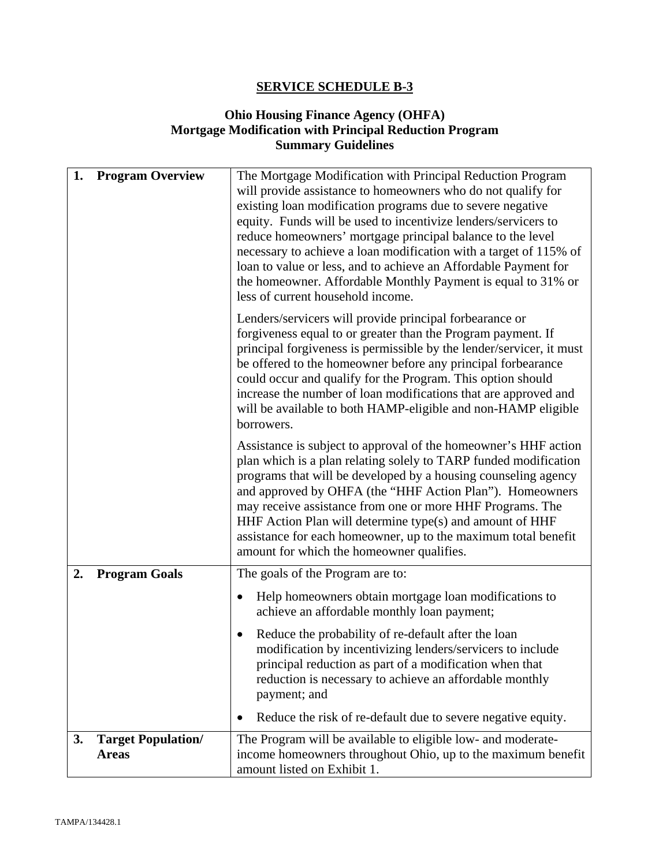## **Ohio Housing Finance Agency (OHFA) Mortgage Modification with Principal Reduction Program Summary Guidelines**

| 1. | <b>Program Overview</b>                   | The Mortgage Modification with Principal Reduction Program<br>will provide assistance to homeowners who do not qualify for<br>existing loan modification programs due to severe negative<br>equity. Funds will be used to incentivize lenders/servicers to<br>reduce homeowners' mortgage principal balance to the level<br>necessary to achieve a loan modification with a target of 115% of<br>loan to value or less, and to achieve an Affordable Payment for<br>the homeowner. Affordable Monthly Payment is equal to 31% or<br>less of current household income. |
|----|-------------------------------------------|-----------------------------------------------------------------------------------------------------------------------------------------------------------------------------------------------------------------------------------------------------------------------------------------------------------------------------------------------------------------------------------------------------------------------------------------------------------------------------------------------------------------------------------------------------------------------|
|    |                                           | Lenders/servicers will provide principal forbearance or<br>forgiveness equal to or greater than the Program payment. If<br>principal forgiveness is permissible by the lender/servicer, it must<br>be offered to the homeowner before any principal forbearance<br>could occur and qualify for the Program. This option should<br>increase the number of loan modifications that are approved and<br>will be available to both HAMP-eligible and non-HAMP eligible<br>borrowers.                                                                                      |
|    |                                           | Assistance is subject to approval of the homeowner's HHF action<br>plan which is a plan relating solely to TARP funded modification<br>programs that will be developed by a housing counseling agency<br>and approved by OHFA (the "HHF Action Plan"). Homeowners<br>may receive assistance from one or more HHF Programs. The<br>HHF Action Plan will determine type(s) and amount of HHF<br>assistance for each homeowner, up to the maximum total benefit<br>amount for which the homeowner qualifies.                                                             |
| 2. | <b>Program Goals</b>                      | The goals of the Program are to:                                                                                                                                                                                                                                                                                                                                                                                                                                                                                                                                      |
|    |                                           | Help homeowners obtain mortgage loan modifications to<br>achieve an affordable monthly loan payment;                                                                                                                                                                                                                                                                                                                                                                                                                                                                  |
|    |                                           | Reduce the probability of re-default after the loan<br>modification by incentivizing lenders/servicers to include<br>principal reduction as part of a modification when that<br>reduction is necessary to achieve an affordable monthly<br>payment; and                                                                                                                                                                                                                                                                                                               |
|    |                                           | Reduce the risk of re-default due to severe negative equity.                                                                                                                                                                                                                                                                                                                                                                                                                                                                                                          |
| 3. | <b>Target Population/</b><br><b>Areas</b> | The Program will be available to eligible low- and moderate-<br>income homeowners throughout Ohio, up to the maximum benefit<br>amount listed on Exhibit 1.                                                                                                                                                                                                                                                                                                                                                                                                           |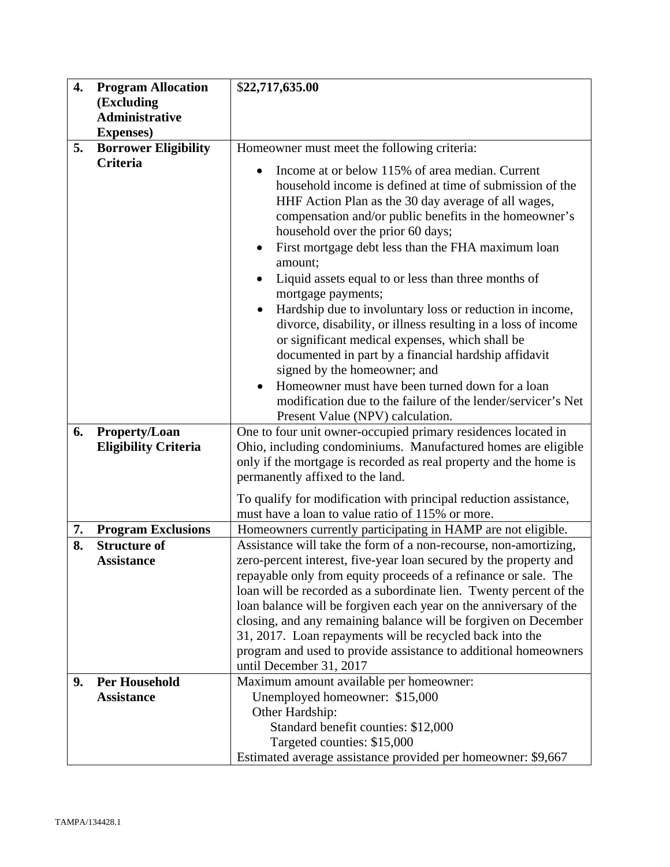| 4. | <b>Program Allocation</b>   | \$22,717,635.00                                                                                                                                                                                                                                                                                                                                                                                                                                                                                                                                                                                                                                                                                                                                                                                                                                                          |
|----|-----------------------------|--------------------------------------------------------------------------------------------------------------------------------------------------------------------------------------------------------------------------------------------------------------------------------------------------------------------------------------------------------------------------------------------------------------------------------------------------------------------------------------------------------------------------------------------------------------------------------------------------------------------------------------------------------------------------------------------------------------------------------------------------------------------------------------------------------------------------------------------------------------------------|
|    | (Excluding                  |                                                                                                                                                                                                                                                                                                                                                                                                                                                                                                                                                                                                                                                                                                                                                                                                                                                                          |
|    | <b>Administrative</b>       |                                                                                                                                                                                                                                                                                                                                                                                                                                                                                                                                                                                                                                                                                                                                                                                                                                                                          |
|    | <b>Expenses</b> )           |                                                                                                                                                                                                                                                                                                                                                                                                                                                                                                                                                                                                                                                                                                                                                                                                                                                                          |
| 5. | <b>Borrower Eligibility</b> | Homeowner must meet the following criteria:                                                                                                                                                                                                                                                                                                                                                                                                                                                                                                                                                                                                                                                                                                                                                                                                                              |
|    | <b>Criteria</b>             | Income at or below 115% of area median. Current<br>household income is defined at time of submission of the<br>HHF Action Plan as the 30 day average of all wages,<br>compensation and/or public benefits in the homeowner's<br>household over the prior 60 days;<br>First mortgage debt less than the FHA maximum loan<br>$\bullet$<br>amount;<br>Liquid assets equal to or less than three months of<br>$\bullet$<br>mortgage payments;<br>Hardship due to involuntary loss or reduction in income,<br>divorce, disability, or illness resulting in a loss of income<br>or significant medical expenses, which shall be<br>documented in part by a financial hardship affidavit<br>signed by the homeowner; and<br>Homeowner must have been turned down for a loan<br>modification due to the failure of the lender/servicer's Net<br>Present Value (NPV) calculation. |
| 6. | <b>Property/Loan</b>        | One to four unit owner-occupied primary residences located in                                                                                                                                                                                                                                                                                                                                                                                                                                                                                                                                                                                                                                                                                                                                                                                                            |
|    | <b>Eligibility Criteria</b> | Ohio, including condominiums. Manufactured homes are eligible                                                                                                                                                                                                                                                                                                                                                                                                                                                                                                                                                                                                                                                                                                                                                                                                            |
|    |                             | only if the mortgage is recorded as real property and the home is                                                                                                                                                                                                                                                                                                                                                                                                                                                                                                                                                                                                                                                                                                                                                                                                        |
|    |                             | permanently affixed to the land.                                                                                                                                                                                                                                                                                                                                                                                                                                                                                                                                                                                                                                                                                                                                                                                                                                         |
|    |                             | To qualify for modification with principal reduction assistance,                                                                                                                                                                                                                                                                                                                                                                                                                                                                                                                                                                                                                                                                                                                                                                                                         |
|    |                             | must have a loan to value ratio of 115% or more.                                                                                                                                                                                                                                                                                                                                                                                                                                                                                                                                                                                                                                                                                                                                                                                                                         |
| 7. | <b>Program Exclusions</b>   | Homeowners currently participating in HAMP are not eligible.                                                                                                                                                                                                                                                                                                                                                                                                                                                                                                                                                                                                                                                                                                                                                                                                             |
| 8. | <b>Structure of</b>         | Assistance will take the form of a non-recourse, non-amortizing,                                                                                                                                                                                                                                                                                                                                                                                                                                                                                                                                                                                                                                                                                                                                                                                                         |
|    | <b>Assistance</b>           | zero-percent interest, five-year loan secured by the property and                                                                                                                                                                                                                                                                                                                                                                                                                                                                                                                                                                                                                                                                                                                                                                                                        |
|    |                             | repayable only from equity proceeds of a refinance or sale. The<br>loan will be recorded as a subordinate lien. Twenty percent of the                                                                                                                                                                                                                                                                                                                                                                                                                                                                                                                                                                                                                                                                                                                                    |
|    |                             | loan balance will be forgiven each year on the anniversary of the                                                                                                                                                                                                                                                                                                                                                                                                                                                                                                                                                                                                                                                                                                                                                                                                        |
|    |                             | closing, and any remaining balance will be forgiven on December                                                                                                                                                                                                                                                                                                                                                                                                                                                                                                                                                                                                                                                                                                                                                                                                          |
|    |                             | 31, 2017. Loan repayments will be recycled back into the                                                                                                                                                                                                                                                                                                                                                                                                                                                                                                                                                                                                                                                                                                                                                                                                                 |
|    |                             | program and used to provide assistance to additional homeowners                                                                                                                                                                                                                                                                                                                                                                                                                                                                                                                                                                                                                                                                                                                                                                                                          |
|    |                             | until December 31, 2017                                                                                                                                                                                                                                                                                                                                                                                                                                                                                                                                                                                                                                                                                                                                                                                                                                                  |
| 9. | <b>Per Household</b>        | Maximum amount available per homeowner:                                                                                                                                                                                                                                                                                                                                                                                                                                                                                                                                                                                                                                                                                                                                                                                                                                  |
|    | <b>Assistance</b>           | Unemployed homeowner: \$15,000                                                                                                                                                                                                                                                                                                                                                                                                                                                                                                                                                                                                                                                                                                                                                                                                                                           |
|    |                             | Other Hardship:                                                                                                                                                                                                                                                                                                                                                                                                                                                                                                                                                                                                                                                                                                                                                                                                                                                          |
|    |                             | Standard benefit counties: \$12,000                                                                                                                                                                                                                                                                                                                                                                                                                                                                                                                                                                                                                                                                                                                                                                                                                                      |
|    |                             | Targeted counties: \$15,000                                                                                                                                                                                                                                                                                                                                                                                                                                                                                                                                                                                                                                                                                                                                                                                                                                              |
|    |                             | Estimated average assistance provided per homeowner: \$9,667                                                                                                                                                                                                                                                                                                                                                                                                                                                                                                                                                                                                                                                                                                                                                                                                             |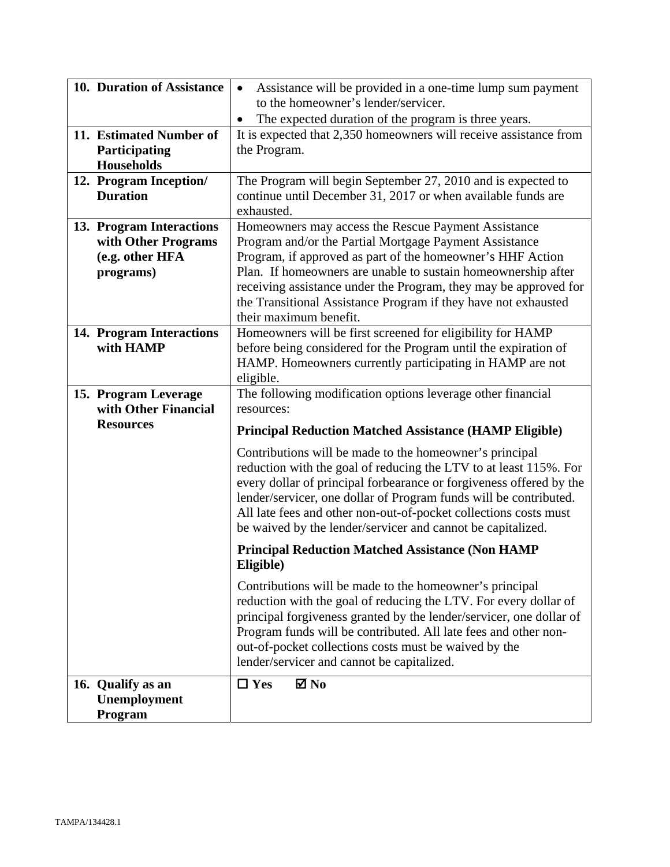| 10. Duration of Assistance | Assistance will be provided in a one-time lump sum payment<br>$\bullet$ |  |  |  |  |
|----------------------------|-------------------------------------------------------------------------|--|--|--|--|
|                            | to the homeowner's lender/servicer.                                     |  |  |  |  |
|                            | The expected duration of the program is three years.<br>$\bullet$       |  |  |  |  |
| 11. Estimated Number of    | It is expected that 2,350 homeowners will receive assistance from       |  |  |  |  |
| Participating              | the Program.                                                            |  |  |  |  |
| <b>Households</b>          |                                                                         |  |  |  |  |
| 12. Program Inception/     | The Program will begin September 27, 2010 and is expected to            |  |  |  |  |
| <b>Duration</b>            | continue until December 31, 2017 or when available funds are            |  |  |  |  |
|                            | exhausted.                                                              |  |  |  |  |
| 13. Program Interactions   | Homeowners may access the Rescue Payment Assistance                     |  |  |  |  |
| with Other Programs        | Program and/or the Partial Mortgage Payment Assistance                  |  |  |  |  |
| (e.g. other HFA            | Program, if approved as part of the homeowner's HHF Action              |  |  |  |  |
| programs)                  | Plan. If homeowners are unable to sustain homeownership after           |  |  |  |  |
|                            | receiving assistance under the Program, they may be approved for        |  |  |  |  |
|                            | the Transitional Assistance Program if they have not exhausted          |  |  |  |  |
|                            | their maximum benefit.                                                  |  |  |  |  |
| 14. Program Interactions   | Homeowners will be first screened for eligibility for HAMP              |  |  |  |  |
| with HAMP                  | before being considered for the Program until the expiration of         |  |  |  |  |
|                            | HAMP. Homeowners currently participating in HAMP are not                |  |  |  |  |
|                            | eligible.                                                               |  |  |  |  |
| 15. Program Leverage       | The following modification options leverage other financial             |  |  |  |  |
| with Other Financial       | resources:                                                              |  |  |  |  |
| <b>Resources</b>           |                                                                         |  |  |  |  |
|                            | <b>Principal Reduction Matched Assistance (HAMP Eligible)</b>           |  |  |  |  |
|                            | Contributions will be made to the homeowner's principal                 |  |  |  |  |
|                            | reduction with the goal of reducing the LTV to at least 115%. For       |  |  |  |  |
|                            | every dollar of principal forbearance or forgiveness offered by the     |  |  |  |  |
|                            | lender/servicer, one dollar of Program funds will be contributed.       |  |  |  |  |
|                            | All late fees and other non-out-of-pocket collections costs must        |  |  |  |  |
|                            | be waived by the lender/servicer and cannot be capitalized.             |  |  |  |  |
|                            | <b>Principal Reduction Matched Assistance (Non HAMP</b>                 |  |  |  |  |
|                            | Eligible)                                                               |  |  |  |  |
|                            | Contributions will be made to the homeowner's principal                 |  |  |  |  |
|                            | reduction with the goal of reducing the LTV. For every dollar of        |  |  |  |  |
|                            | principal forgiveness granted by the lender/servicer, one dollar of     |  |  |  |  |
|                            | Program funds will be contributed. All late fees and other non-         |  |  |  |  |
|                            | out-of-pocket collections costs must be waived by the                   |  |  |  |  |
|                            | lender/servicer and cannot be capitalized.                              |  |  |  |  |
|                            |                                                                         |  |  |  |  |
| 16. Qualify as an          | $\Box$ Yes<br>$\boxtimes$ No                                            |  |  |  |  |
| <b>Unemployment</b>        |                                                                         |  |  |  |  |
| Program                    |                                                                         |  |  |  |  |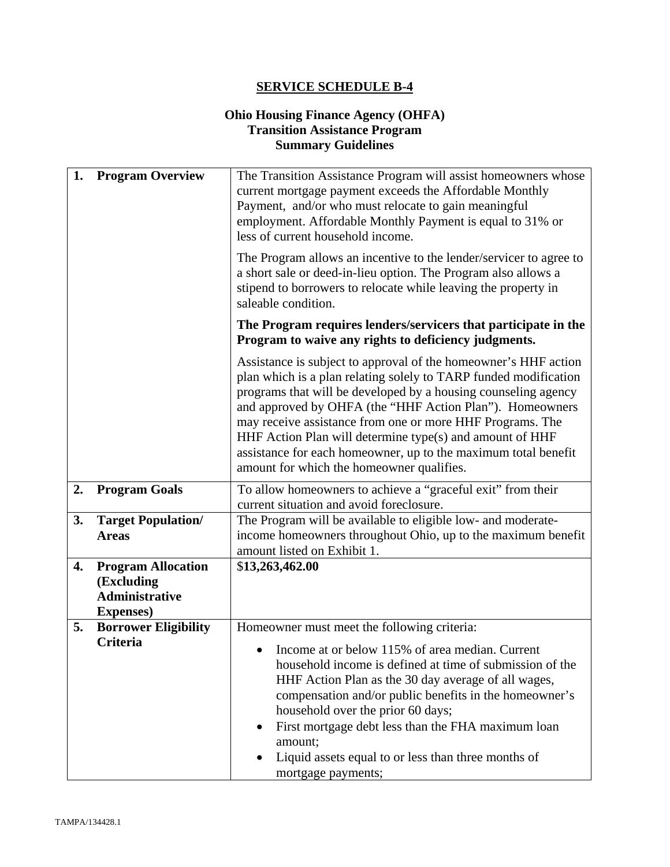## **Ohio Housing Finance Agency (OHFA) Transition Assistance Program Summary Guidelines**

| 1. | <b>Program Overview</b>                                  | The Transition Assistance Program will assist homeowners whose<br>current mortgage payment exceeds the Affordable Monthly                                                                                                                                                                                                                                                                                                                                                                                 |  |  |  |
|----|----------------------------------------------------------|-----------------------------------------------------------------------------------------------------------------------------------------------------------------------------------------------------------------------------------------------------------------------------------------------------------------------------------------------------------------------------------------------------------------------------------------------------------------------------------------------------------|--|--|--|
|    |                                                          | Payment, and/or who must relocate to gain meaningful<br>employment. Affordable Monthly Payment is equal to 31% or<br>less of current household income.                                                                                                                                                                                                                                                                                                                                                    |  |  |  |
|    |                                                          | The Program allows an incentive to the lender/servicer to agree to<br>a short sale or deed-in-lieu option. The Program also allows a<br>stipend to borrowers to relocate while leaving the property in<br>saleable condition.                                                                                                                                                                                                                                                                             |  |  |  |
|    |                                                          | The Program requires lenders/servicers that participate in the<br>Program to waive any rights to deficiency judgments.                                                                                                                                                                                                                                                                                                                                                                                    |  |  |  |
|    |                                                          | Assistance is subject to approval of the homeowner's HHF action<br>plan which is a plan relating solely to TARP funded modification<br>programs that will be developed by a housing counseling agency<br>and approved by OHFA (the "HHF Action Plan"). Homeowners<br>may receive assistance from one or more HHF Programs. The<br>HHF Action Plan will determine type(s) and amount of HHF<br>assistance for each homeowner, up to the maximum total benefit<br>amount for which the homeowner qualifies. |  |  |  |
| 2. | <b>Program Goals</b>                                     | To allow homeowners to achieve a "graceful exit" from their<br>current situation and avoid foreclosure.                                                                                                                                                                                                                                                                                                                                                                                                   |  |  |  |
| 3. | <b>Target Population/</b>                                | The Program will be available to eligible low- and moderate-                                                                                                                                                                                                                                                                                                                                                                                                                                              |  |  |  |
|    | <b>Areas</b>                                             | income homeowners throughout Ohio, up to the maximum benefit<br>amount listed on Exhibit 1.                                                                                                                                                                                                                                                                                                                                                                                                               |  |  |  |
| 4. | <b>Program Allocation</b>                                | \$13,263,462.00                                                                                                                                                                                                                                                                                                                                                                                                                                                                                           |  |  |  |
|    | (Excluding<br><b>Administrative</b><br><b>Expenses</b> ) |                                                                                                                                                                                                                                                                                                                                                                                                                                                                                                           |  |  |  |
| 5. | <b>Borrower Eligibility</b>                              | Homeowner must meet the following criteria:                                                                                                                                                                                                                                                                                                                                                                                                                                                               |  |  |  |
|    | <b>Criteria</b>                                          | Income at or below 115% of area median. Current<br>household income is defined at time of submission of the<br>HHF Action Plan as the 30 day average of all wages,<br>compensation and/or public benefits in the homeowner's<br>household over the prior 60 days;<br>First mortgage debt less than the FHA maximum loan<br>$\bullet$<br>amount;<br>Liquid assets equal to or less than three months of<br>mortgage payments;                                                                              |  |  |  |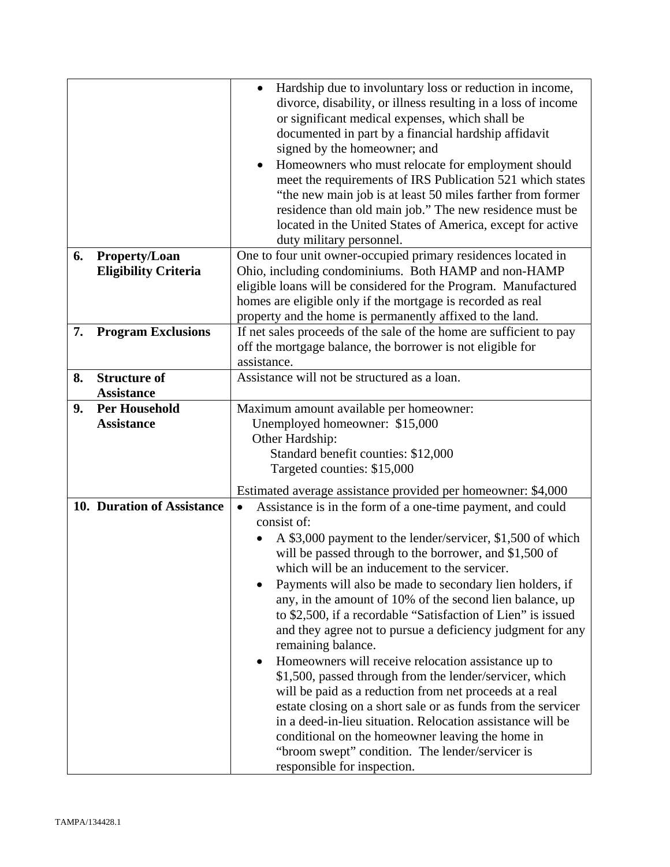| 6. |                                                     | Hardship due to involuntary loss or reduction in income,<br>divorce, disability, or illness resulting in a loss of income<br>or significant medical expenses, which shall be<br>documented in part by a financial hardship affidavit<br>signed by the homeowner; and<br>Homeowners who must relocate for employment should<br>meet the requirements of IRS Publication 521 which states<br>"the new main job is at least 50 miles farther from former<br>residence than old main job." The new residence must be<br>located in the United States of America, except for active<br>duty military personnel. |  |  |  |
|----|-----------------------------------------------------|------------------------------------------------------------------------------------------------------------------------------------------------------------------------------------------------------------------------------------------------------------------------------------------------------------------------------------------------------------------------------------------------------------------------------------------------------------------------------------------------------------------------------------------------------------------------------------------------------------|--|--|--|
|    | <b>Property/Loan</b><br><b>Eligibility Criteria</b> | One to four unit owner-occupied primary residences located in<br>Ohio, including condominiums. Both HAMP and non-HAMP                                                                                                                                                                                                                                                                                                                                                                                                                                                                                      |  |  |  |
|    |                                                     | eligible loans will be considered for the Program. Manufactured                                                                                                                                                                                                                                                                                                                                                                                                                                                                                                                                            |  |  |  |
|    |                                                     | homes are eligible only if the mortgage is recorded as real                                                                                                                                                                                                                                                                                                                                                                                                                                                                                                                                                |  |  |  |
|    |                                                     | property and the home is permanently affixed to the land.                                                                                                                                                                                                                                                                                                                                                                                                                                                                                                                                                  |  |  |  |
| 7. | <b>Program Exclusions</b>                           | If net sales proceeds of the sale of the home are sufficient to pay<br>off the mortgage balance, the borrower is not eligible for                                                                                                                                                                                                                                                                                                                                                                                                                                                                          |  |  |  |
|    |                                                     | assistance.                                                                                                                                                                                                                                                                                                                                                                                                                                                                                                                                                                                                |  |  |  |
| 8. | <b>Structure of</b>                                 | Assistance will not be structured as a loan.                                                                                                                                                                                                                                                                                                                                                                                                                                                                                                                                                               |  |  |  |
|    | <b>Assistance</b>                                   |                                                                                                                                                                                                                                                                                                                                                                                                                                                                                                                                                                                                            |  |  |  |
| 9. | <b>Per Household</b>                                | Maximum amount available per homeowner:                                                                                                                                                                                                                                                                                                                                                                                                                                                                                                                                                                    |  |  |  |
|    | <b>Assistance</b>                                   | Unemployed homeowner: \$15,000                                                                                                                                                                                                                                                                                                                                                                                                                                                                                                                                                                             |  |  |  |
|    |                                                     | Other Hardship:                                                                                                                                                                                                                                                                                                                                                                                                                                                                                                                                                                                            |  |  |  |
|    |                                                     | Standard benefit counties: \$12,000<br>Targeted counties: \$15,000                                                                                                                                                                                                                                                                                                                                                                                                                                                                                                                                         |  |  |  |
|    |                                                     | Estimated average assistance provided per homeowner: \$4,000                                                                                                                                                                                                                                                                                                                                                                                                                                                                                                                                               |  |  |  |
|    | 10. Duration of Assistance                          | Assistance is in the form of a one-time payment, and could<br>$\bullet$                                                                                                                                                                                                                                                                                                                                                                                                                                                                                                                                    |  |  |  |
|    |                                                     | consist of:                                                                                                                                                                                                                                                                                                                                                                                                                                                                                                                                                                                                |  |  |  |
|    |                                                     | A \$3,000 payment to the lender/servicer, \$1,500 of which<br>will be passed through to the borrower, and \$1,500 of<br>which will be an inducement to the servicer.                                                                                                                                                                                                                                                                                                                                                                                                                                       |  |  |  |
|    |                                                     | Payments will also be made to secondary lien holders, if<br>any, in the amount of 10% of the second lien balance, up<br>to \$2,500, if a recordable "Satisfaction of Lien" is issued<br>and they agree not to pursue a deficiency judgment for any<br>remaining balance.                                                                                                                                                                                                                                                                                                                                   |  |  |  |
|    |                                                     | Homeowners will receive relocation assistance up to<br>\$1,500, passed through from the lender/servicer, which<br>will be paid as a reduction from net proceeds at a real<br>estate closing on a short sale or as funds from the servicer<br>in a deed-in-lieu situation. Relocation assistance will be<br>conditional on the homeowner leaving the home in<br>"broom swept" condition. The lender/servicer is<br>responsible for inspection.                                                                                                                                                              |  |  |  |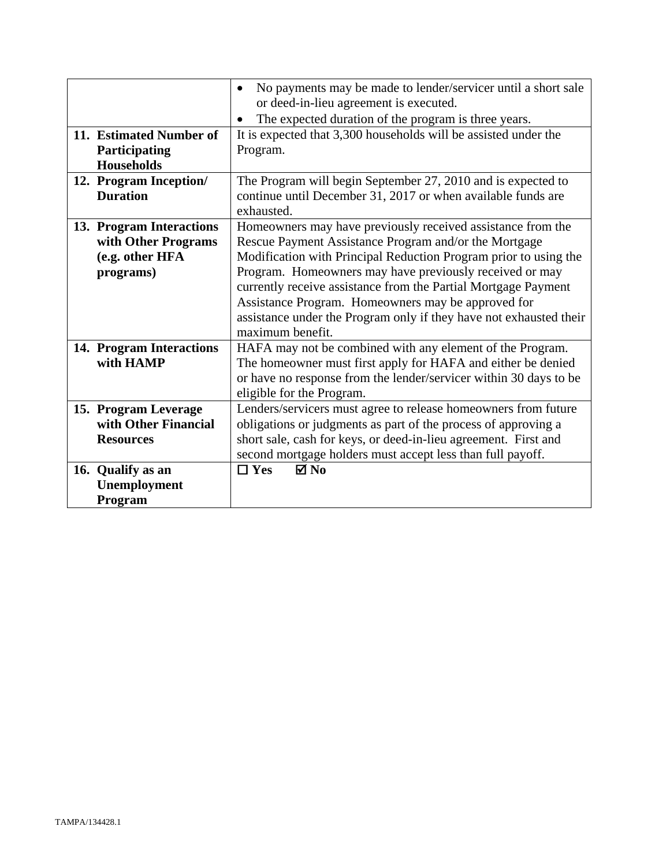|                                                                                 | No payments may be made to lender/servicer until a short sale<br>$\bullet$<br>or deed-in-lieu agreement is executed.<br>The expected duration of the program is three years.                                                                                                                                                                                                                                                                                          |  |  |
|---------------------------------------------------------------------------------|-----------------------------------------------------------------------------------------------------------------------------------------------------------------------------------------------------------------------------------------------------------------------------------------------------------------------------------------------------------------------------------------------------------------------------------------------------------------------|--|--|
| 11. Estimated Number of<br>Participating<br><b>Households</b>                   | It is expected that 3,300 households will be assisted under the<br>Program.                                                                                                                                                                                                                                                                                                                                                                                           |  |  |
| 12. Program Inception/<br><b>Duration</b>                                       | The Program will begin September 27, 2010 and is expected to<br>continue until December 31, 2017 or when available funds are<br>exhausted.                                                                                                                                                                                                                                                                                                                            |  |  |
| 13. Program Interactions<br>with Other Programs<br>(e.g. other HFA<br>programs) | Homeowners may have previously received assistance from the<br>Rescue Payment Assistance Program and/or the Mortgage<br>Modification with Principal Reduction Program prior to using the<br>Program. Homeowners may have previously received or may<br>currently receive assistance from the Partial Mortgage Payment<br>Assistance Program. Homeowners may be approved for<br>assistance under the Program only if they have not exhausted their<br>maximum benefit. |  |  |
| 14. Program Interactions<br>with HAMP                                           | HAFA may not be combined with any element of the Program.<br>The homeowner must first apply for HAFA and either be denied<br>or have no response from the lender/servicer within 30 days to be<br>eligible for the Program.                                                                                                                                                                                                                                           |  |  |
| 15. Program Leverage<br>with Other Financial<br><b>Resources</b>                | Lenders/servicers must agree to release homeowners from future<br>obligations or judgments as part of the process of approving a<br>short sale, cash for keys, or deed-in-lieu agreement. First and<br>second mortgage holders must accept less than full payoff.<br>$\boxtimes$ No<br>$\Box$ Yes                                                                                                                                                                     |  |  |
| 16. Qualify as an<br>Unemployment<br>Program                                    |                                                                                                                                                                                                                                                                                                                                                                                                                                                                       |  |  |